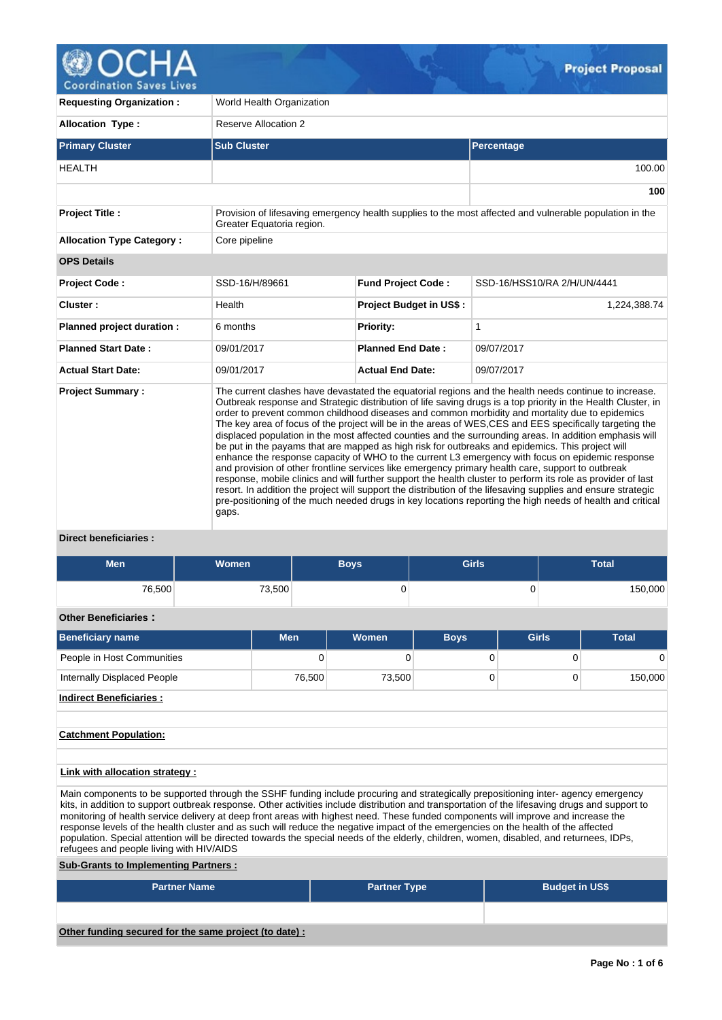

**Coordination Saves Lives** 

| <b>Requesting Organization:</b>  | World Health Organization |                                |                                                                                                                                                                                                                                                                                                                                                                                                                                                                                                                                                                                                                                                                                                                                                                                                                                                                                                                                                                                                                                                                                                                                                                                                            |  |  |  |  |  |  |
|----------------------------------|---------------------------|--------------------------------|------------------------------------------------------------------------------------------------------------------------------------------------------------------------------------------------------------------------------------------------------------------------------------------------------------------------------------------------------------------------------------------------------------------------------------------------------------------------------------------------------------------------------------------------------------------------------------------------------------------------------------------------------------------------------------------------------------------------------------------------------------------------------------------------------------------------------------------------------------------------------------------------------------------------------------------------------------------------------------------------------------------------------------------------------------------------------------------------------------------------------------------------------------------------------------------------------------|--|--|--|--|--|--|
| <b>Allocation Type:</b>          | Reserve Allocation 2      |                                |                                                                                                                                                                                                                                                                                                                                                                                                                                                                                                                                                                                                                                                                                                                                                                                                                                                                                                                                                                                                                                                                                                                                                                                                            |  |  |  |  |  |  |
| <b>Primary Cluster</b>           | <b>Sub Cluster</b>        |                                | Percentage                                                                                                                                                                                                                                                                                                                                                                                                                                                                                                                                                                                                                                                                                                                                                                                                                                                                                                                                                                                                                                                                                                                                                                                                 |  |  |  |  |  |  |
| <b>HEALTH</b>                    |                           |                                | 100.00                                                                                                                                                                                                                                                                                                                                                                                                                                                                                                                                                                                                                                                                                                                                                                                                                                                                                                                                                                                                                                                                                                                                                                                                     |  |  |  |  |  |  |
|                                  |                           |                                | 100                                                                                                                                                                                                                                                                                                                                                                                                                                                                                                                                                                                                                                                                                                                                                                                                                                                                                                                                                                                                                                                                                                                                                                                                        |  |  |  |  |  |  |
| <b>Project Title:</b>            | Greater Equatoria region. |                                | Provision of lifesaving emergency health supplies to the most affected and vulnerable population in the                                                                                                                                                                                                                                                                                                                                                                                                                                                                                                                                                                                                                                                                                                                                                                                                                                                                                                                                                                                                                                                                                                    |  |  |  |  |  |  |
| <b>Allocation Type Category:</b> | Core pipeline             |                                |                                                                                                                                                                                                                                                                                                                                                                                                                                                                                                                                                                                                                                                                                                                                                                                                                                                                                                                                                                                                                                                                                                                                                                                                            |  |  |  |  |  |  |
| <b>OPS Details</b>               |                           |                                |                                                                                                                                                                                                                                                                                                                                                                                                                                                                                                                                                                                                                                                                                                                                                                                                                                                                                                                                                                                                                                                                                                                                                                                                            |  |  |  |  |  |  |
| <b>Project Code:</b>             | SSD-16/H/89661            | <b>Fund Project Code:</b>      | SSD-16/HSS10/RA 2/H/UN/4441                                                                                                                                                                                                                                                                                                                                                                                                                                                                                                                                                                                                                                                                                                                                                                                                                                                                                                                                                                                                                                                                                                                                                                                |  |  |  |  |  |  |
| Cluster:                         | Health                    | <b>Project Budget in US\$:</b> | 1,224,388.74                                                                                                                                                                                                                                                                                                                                                                                                                                                                                                                                                                                                                                                                                                                                                                                                                                                                                                                                                                                                                                                                                                                                                                                               |  |  |  |  |  |  |
| Planned project duration :       | 6 months                  | Priority:                      | 1                                                                                                                                                                                                                                                                                                                                                                                                                                                                                                                                                                                                                                                                                                                                                                                                                                                                                                                                                                                                                                                                                                                                                                                                          |  |  |  |  |  |  |
| <b>Planned Start Date:</b>       | 09/01/2017                | <b>Planned End Date:</b>       | 09/07/2017                                                                                                                                                                                                                                                                                                                                                                                                                                                                                                                                                                                                                                                                                                                                                                                                                                                                                                                                                                                                                                                                                                                                                                                                 |  |  |  |  |  |  |
| <b>Actual Start Date:</b>        | 09/01/2017                | <b>Actual End Date:</b>        | 09/07/2017                                                                                                                                                                                                                                                                                                                                                                                                                                                                                                                                                                                                                                                                                                                                                                                                                                                                                                                                                                                                                                                                                                                                                                                                 |  |  |  |  |  |  |
| <b>Project Summary:</b>          | gaps.                     |                                | The current clashes have devastated the equatorial regions and the health needs continue to increase.<br>Outbreak response and Strategic distribution of life saving drugs is a top priority in the Health Cluster, in<br>order to prevent common childhood diseases and common morbidity and mortality due to epidemics<br>The key area of focus of the project will be in the areas of WES, CES and EES specifically targeting the<br>displaced population in the most affected counties and the surrounding areas. In addition emphasis will<br>be put in the payams that are mapped as high risk for outbreaks and epidemics. This project will<br>enhance the response capacity of WHO to the current L3 emergency with focus on epidemic response<br>and provision of other frontline services like emergency primary health care, support to outbreak<br>response, mobile clinics and will further support the health cluster to perform its role as provider of last<br>resort. In addition the project will support the distribution of the lifesaving supplies and ensure strategic<br>pre-positioning of the much needed drugs in key locations reporting the high needs of health and critical |  |  |  |  |  |  |

# **Direct beneficiaries :**

| <b>Men</b>                  | <b>Women</b> | <b>Boys</b> | <b>Girls</b> |              | <b>Total</b> |
|-----------------------------|--------------|-------------|--------------|--------------|--------------|
| 76,500                      | 73,500       |             |              | U            | 150,000      |
| <b>Other Beneficiaries:</b> |              |             |              |              |              |
| <b>Beneficiary name</b>     | <b>Men</b>   | Women       | <b>Boys</b>  | <b>Girls</b> | <b>Total</b> |

| <b>Beneficiary name</b>        | <b>Men</b> | <b>Women</b> | <b>Boys</b> | <b>Girls</b> | <b>Total</b> |
|--------------------------------|------------|--------------|-------------|--------------|--------------|
| People in Host Communities     | 0          |              |             |              |              |
| Internally Displaced People    | 76.500     | 73,500       |             |              | 150,000      |
| <b>Indirect Beneficiaries:</b> |            |              |             |              |              |

# **Catchment Population:**

# **Link with allocation strategy :**

Main components to be supported through the SSHF funding include procuring and strategically prepositioning inter- agency emergency kits, in addition to support outbreak response. Other activities include distribution and transportation of the lifesaving drugs and support to monitoring of health service delivery at deep front areas with highest need. These funded components will improve and increase the response levels of the health cluster and as such will reduce the negative impact of the emergencies on the health of the affected population. Special attention will be directed towards the special needs of the elderly, children, women, disabled, and returnees, IDPs, refugees and people living with HIV/AIDS

# **Sub-Grants to Implementing Partners :**

| <b>Partner Name</b>                                   | <b>Partner Type</b> | <b>Budget in US\$</b> |
|-------------------------------------------------------|---------------------|-----------------------|
|                                                       |                     |                       |
| Other funding secured for the same project (to date): |                     |                       |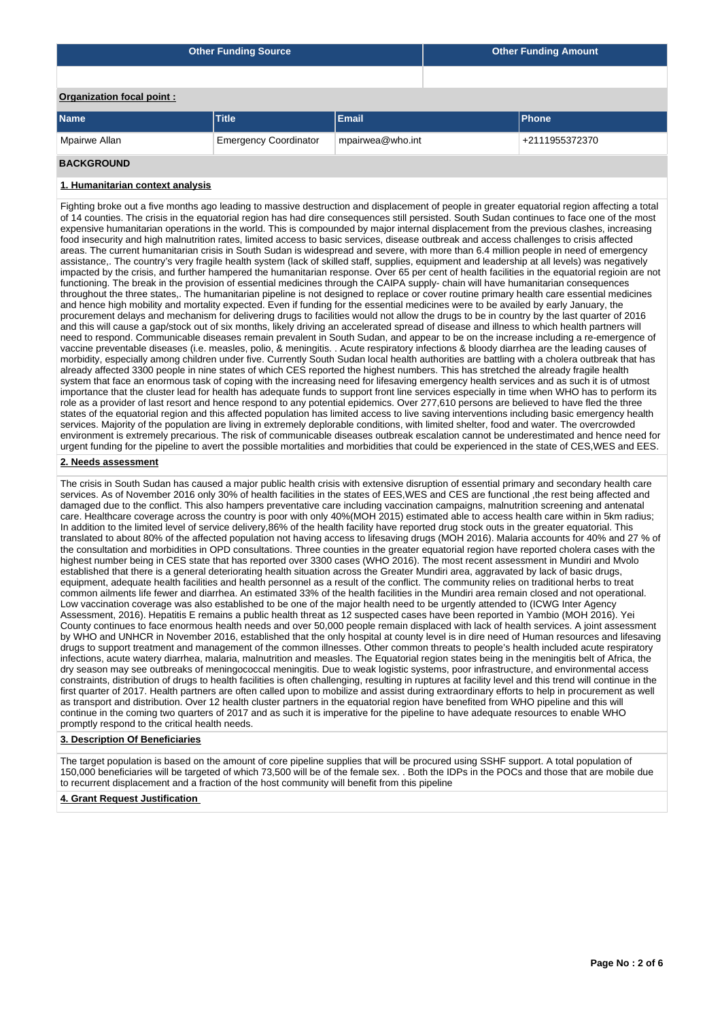|                           | <b>Other Funding Source</b>  | Other Funding Amount |                |  |
|---------------------------|------------------------------|----------------------|----------------|--|
|                           |                              |                      |                |  |
| Organization focal point: |                              |                      |                |  |
| <b>Name</b>               | <b>Title</b>                 | Email                | <b>Phone</b>   |  |
| Mpairwe Allan             | <b>Emergency Coordinator</b> | mpairwea@who.int     | +2111955372370 |  |

# **BACKGROUND**

# **1. Humanitarian context analysis**

Fighting broke out a five months ago leading to massive destruction and displacement of people in greater equatorial region affecting a total of 14 counties. The crisis in the equatorial region has had dire consequences still persisted. South Sudan continues to face one of the most expensive humanitarian operations in the world. This is compounded by major internal displacement from the previous clashes, increasing food insecurity and high malnutrition rates, limited access to basic services, disease outbreak and access challenges to crisis affected areas. The current humanitarian crisis in South Sudan is widespread and severe, with more than 6.4 million people in need of emergency assistance,. The country's very fragile health system (lack of skilled staff, supplies, equipment and leadership at all levels) was negatively impacted by the crisis, and further hampered the humanitarian response. Over 65 per cent of health facilities in the equatorial regioin are not functioning. The break in the provision of essential medicines through the CAIPA supply- chain will have humanitarian consequences throughout the three states,. The humanitarian pipeline is not designed to replace or cover routine primary health care essential medicines and hence high mobility and mortality expected. Even if funding for the essential medicines were to be availed by early January, the procurement delays and mechanism for delivering drugs to facilities would not allow the drugs to be in country by the last quarter of 2016 and this will cause a gap/stock out of six months, likely driving an accelerated spread of disease and illness to which health partners will need to respond. Communicable diseases remain prevalent in South Sudan, and appear to be on the increase including a re-emergence of vaccine preventable diseases (i.e. measles, polio, & meningitis. . Acute respiratory infections & bloody diarrhea are the leading causes of morbidity, especially among children under five. Currently South Sudan local health authorities are battling with a cholera outbreak that has already affected 3300 people in nine states of which CES reported the highest numbers. This has stretched the already fragile health system that face an enormous task of coping with the increasing need for lifesaving emergency health services and as such it is of utmost importance that the cluster lead for health has adequate funds to support front line services especially in time when WHO has to perform its role as a provider of last resort and hence respond to any potential epidemics. Over 277,610 persons are believed to have fled the three states of the equatorial region and this affected population has limited access to live saving interventions including basic emergency health services. Majority of the population are living in extremely deplorable conditions, with limited shelter, food and water. The overcrowded environment is extremely precarious. The risk of communicable diseases outbreak escalation cannot be underestimated and hence need for urgent funding for the pipeline to avert the possible mortalities and morbidities that could be experienced in the state of CES,WES and EES.

# **2. Needs assessment**

The crisis in South Sudan has caused a major public health crisis with extensive disruption of essential primary and secondary health care services. As of November 2016 only 30% of health facilities in the states of EES,WES and CES are functional ,the rest being affected and damaged due to the conflict. This also hampers preventative care including vaccination campaigns, malnutrition screening and antenatal care. Healthcare coverage across the country is poor with only 40%(MOH 2015) estimated able to access health care within in 5km radius; In addition to the limited level of service delivery,86% of the health facility have reported drug stock outs in the greater equatorial. This translated to about 80% of the affected population not having access to lifesaving drugs (MOH 2016). Malaria accounts for 40% and 27 % of the consultation and morbidities in OPD consultations. Three counties in the greater equatorial region have reported cholera cases with the highest number being in CES state that has reported over 3300 cases (WHO 2016). The most recent assessment in Mundiri and Mvolo established that there is a general deteriorating health situation across the Greater Mundiri area, aggravated by lack of basic drugs, equipment, adequate health facilities and health personnel as a result of the conflict. The community relies on traditional herbs to treat common ailments life fewer and diarrhea. An estimated 33% of the health facilities in the Mundiri area remain closed and not operational. Low vaccination coverage was also established to be one of the major health need to be urgently attended to (ICWG Inter Agency Assessment, 2016). Hepatitis E remains a public health threat as 12 suspected cases have been reported in Yambio (MOH 2016). Yei County continues to face enormous health needs and over 50,000 people remain displaced with lack of health services. A joint assessment by WHO and UNHCR in November 2016, established that the only hospital at county level is in dire need of Human resources and lifesaving drugs to support treatment and management of the common illnesses. Other common threats to people's health included acute respiratory infections, acute watery diarrhea, malaria, malnutrition and measles. The Equatorial region states being in the meningitis belt of Africa, the dry season may see outbreaks of meningococcal meningitis. Due to weak logistic systems, poor infrastructure, and environmental access constraints, distribution of drugs to health facilities is often challenging, resulting in ruptures at facility level and this trend will continue in the first quarter of 2017. Health partners are often called upon to mobilize and assist during extraordinary efforts to help in procurement as well as transport and distribution. Over 12 health cluster partners in the equatorial region have benefited from WHO pipeline and this will continue in the coming two quarters of 2017 and as such it is imperative for the pipeline to have adequate resources to enable WHO promptly respond to the critical health needs.

### **3. Description Of Beneficiaries**

The target population is based on the amount of core pipeline supplies that will be procured using SSHF support. A total population of 150,000 beneficiaries will be targeted of which 73,500 will be of the female sex. . Both the IDPs in the POCs and those that are mobile due to recurrent displacement and a fraction of the host community will benefit from this pipeline

#### **4. Grant Request Justification**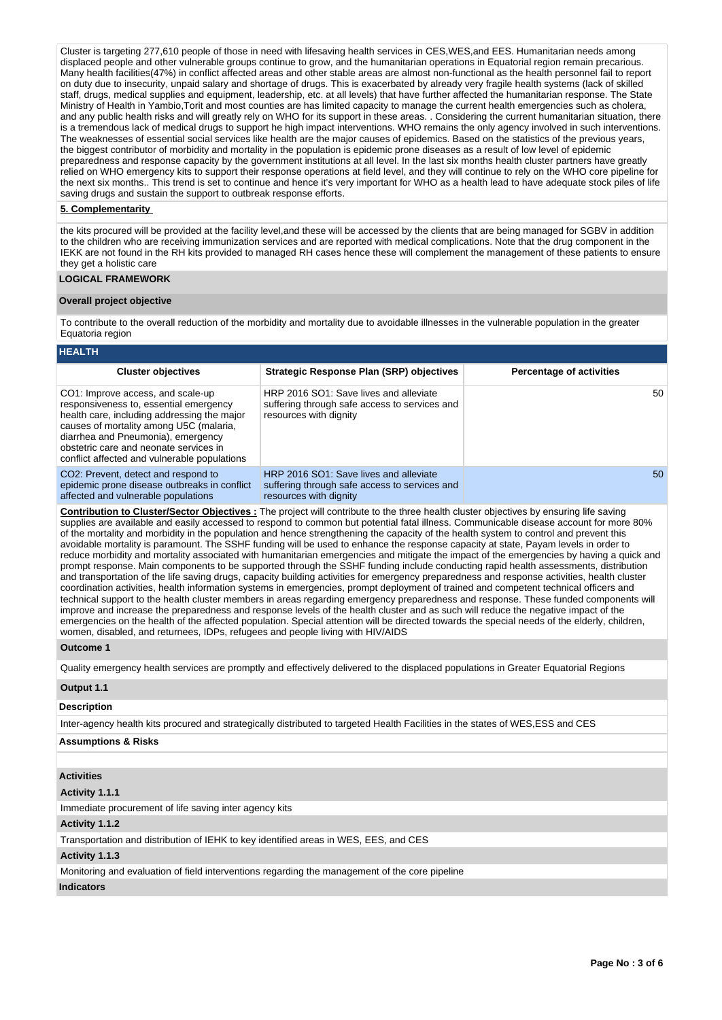Cluster is targeting 277,610 people of those in need with lifesaving health services in CES,WES,and EES. Humanitarian needs among displaced people and other vulnerable groups continue to grow, and the humanitarian operations in Equatorial region remain precarious. Many health facilities(47%) in conflict affected areas and other stable areas are almost non-functional as the health personnel fail to report on duty due to insecurity, unpaid salary and shortage of drugs. This is exacerbated by already very fragile health systems (lack of skilled staff, drugs, medical supplies and equipment, leadership, etc. at all levels) that have further affected the humanitarian response. The State Ministry of Health in Yambio,Torit and most counties are has limited capacity to manage the current health emergencies such as cholera, and any public health risks and will greatly rely on WHO for its support in these areas. . Considering the current humanitarian situation, there is a tremendous lack of medical drugs to support he high impact interventions. WHO remains the only agency involved in such interventions. The weaknesses of essential social services like health are the major causes of epidemics. Based on the statistics of the previous years, the biggest contributor of morbidity and mortality in the population is epidemic prone diseases as a result of low level of epidemic preparedness and response capacity by the government institutions at all level. In the last six months health cluster partners have greatly relied on WHO emergency kits to support their response operations at field level, and they will continue to rely on the WHO core pipeline for the next six months.. This trend is set to continue and hence it's very important for WHO as a health lead to have adequate stock piles of life saving drugs and sustain the support to outbreak response efforts.

# **5. Complementarity**

the kits procured will be provided at the facility level,and these will be accessed by the clients that are being managed for SGBV in addition to the children who are receiving immunization services and are reported with medical complications. Note that the drug component in the IEKK are not found in the RH kits provided to managed RH cases hence these will complement the management of these patients to ensure they get a holistic care

# **LOGICAL FRAMEWORK**

#### **Overall project objective**

To contribute to the overall reduction of the morbidity and mortality due to avoidable illnesses in the vulnerable population in the greater Equatoria region

# **HEALTH**

| <b>Cluster objectives</b>                                                                                                                                                                                                                                                                             | <b>Strategic Response Plan (SRP) objectives</b>                                                                   | <b>Percentage of activities</b> |
|-------------------------------------------------------------------------------------------------------------------------------------------------------------------------------------------------------------------------------------------------------------------------------------------------------|-------------------------------------------------------------------------------------------------------------------|---------------------------------|
| CO1: Improve access, and scale-up<br>responsiveness to, essential emergency<br>health care, including addressing the major<br>causes of mortality among U5C (malaria,<br>diarrhea and Pneumonia), emergency<br>obstetric care and neonate services in<br>conflict affected and vulnerable populations | HRP 2016 SO1: Save lives and alleviate<br>suffering through safe access to services and<br>resources with dignity | 50                              |
| CO <sub>2</sub> : Prevent, detect and respond to<br>epidemic prone disease outbreaks in conflict<br>affected and vulnerable populations                                                                                                                                                               | HRP 2016 SO1: Save lives and alleviate<br>suffering through safe access to services and<br>resources with dignity | 50                              |

**Contribution to Cluster/Sector Objectives :** The project will contribute to the three health cluster objectives by ensuring life saving supplies are available and easily accessed to respond to common but potential fatal illness. Communicable disease account for more 80% of the mortality and morbidity in the population and hence strengthening the capacity of the health system to control and prevent this avoidable mortality is paramount. The SSHF funding will be used to enhance the response capacity at state, Payam levels in order to reduce morbidity and mortality associated with humanitarian emergencies and mitigate the impact of the emergencies by having a quick and prompt response. Main components to be supported through the SSHF funding include conducting rapid health assessments, distribution and transportation of the life saving drugs, capacity building activities for emergency preparedness and response activities, health cluster coordination activities, health information systems in emergencies, prompt deployment of trained and competent technical officers and technical support to the health cluster members in areas regarding emergency preparedness and response. These funded components will improve and increase the preparedness and response levels of the health cluster and as such will reduce the negative impact of the emergencies on the health of the affected population. Special attention will be directed towards the special needs of the elderly, children, women, disabled, and returnees, IDPs, refugees and people living with HIV/AIDS

# **Outcome 1**

Quality emergency health services are promptly and effectively delivered to the displaced populations in Greater Equatorial Regions

# **Output 1.1**

## **Description**

Inter-agency health kits procured and strategically distributed to targeted Health Facilities in the states of WES,ESS and CES

## **Assumptions & Risks**

### **Activities**

#### **Activity 1.1.1**

Immediate procurement of life saving inter agency kits

# **Activity 1.1.2**

Transportation and distribution of IEHK to key identified areas in WES, EES, and CES

#### **Activity 1.1.3**

Monitoring and evaluation of field interventions regarding the management of the core pipeline

# **Indicators**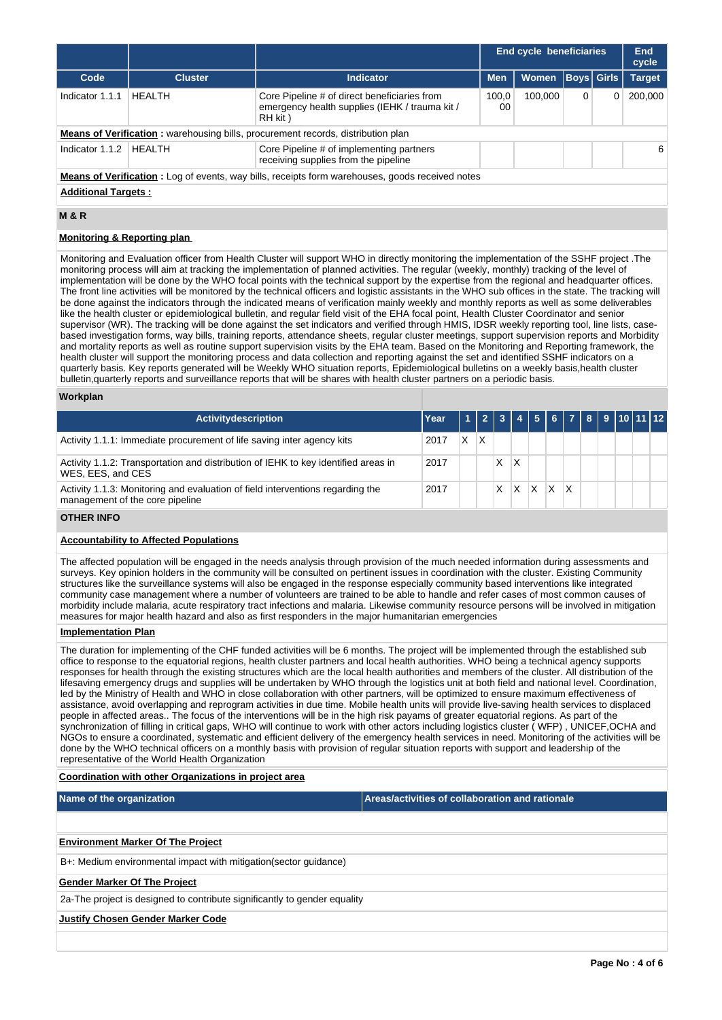|                                                                                                  |                |                                                                                                            |             | End cycle beneficiaries |   |                   | End<br>cycle  |  |  |
|--------------------------------------------------------------------------------------------------|----------------|------------------------------------------------------------------------------------------------------------|-------------|-------------------------|---|-------------------|---------------|--|--|
| Code                                                                                             | <b>Cluster</b> | <b>Indicator</b>                                                                                           | <b>Men</b>  | <b>Women</b>            |   | <b>Boys</b> Girls | <b>Target</b> |  |  |
| Indicator 1.1.1                                                                                  | <b>HFAITH</b>  | Core Pipeline # of direct beneficiaries from<br>emergency health supplies (IEHK / trauma kit /<br>RH kit ) | 100.0<br>00 | 100.000                 | 0 | 0                 | 200,000       |  |  |
|                                                                                                  |                | <b>Means of Verification:</b> warehousing bills, procurement records, distribution plan                    |             |                         |   |                   |               |  |  |
| Indicator 1.1.2                                                                                  | HEALTH         | Core Pipeline # of implementing partners<br>receiving supplies from the pipeline                           |             |                         |   |                   | 6             |  |  |
| Means of Verification : Log of events, way bills, receipts form warehouses, goods received notes |                |                                                                                                            |             |                         |   |                   |               |  |  |
| <b>Additional Targets:</b>                                                                       |                |                                                                                                            |             |                         |   |                   |               |  |  |

# **M & R**

# **Monitoring & Reporting plan**

Monitoring and Evaluation officer from Health Cluster will support WHO in directly monitoring the implementation of the SSHF project .The monitoring process will aim at tracking the implementation of planned activities. The regular (weekly, monthly) tracking of the level of implementation will be done by the WHO focal points with the technical support by the expertise from the regional and headquarter offices. The front line activities will be monitored by the technical officers and logistic assistants in the WHO sub offices in the state. The tracking will be done against the indicators through the indicated means of verification mainly weekly and monthly reports as well as some deliverables like the health cluster or epidemiological bulletin, and regular field visit of the EHA focal point, Health Cluster Coordinator and senior supervisor (WR). The tracking will be done against the set indicators and verified through HMIS, IDSR weekly reporting tool, line lists, casebased investigation forms, way bills, training reports, attendance sheets, regular cluster meetings, support supervision reports and Morbidity and mortality reports as well as routine support supervision visits by the EHA team. Based on the Monitoring and Reporting framework, the health cluster will support the monitoring process and data collection and reporting against the set and identified SSHF indicators on a quarterly basis. Key reports generated will be Weekly WHO situation reports, Epidemiological bulletins on a weekly basis,health cluster bulletin,quarterly reports and surveillance reports that will be shares with health cluster partners on a periodic basis.

#### **Workplan**

| <b>Activitydescription</b>                                                                                        | Year |   | 112131 |   |   |  |  | 4 5 6 7 8 9 10 11 12 |
|-------------------------------------------------------------------------------------------------------------------|------|---|--------|---|---|--|--|----------------------|
| Activity 1.1.1: Immediate procurement of life saving inter agency kits                                            | 2017 | X |        |   |   |  |  |                      |
| Activity 1.1.2: Transportation and distribution of IEHK to key identified areas in<br>WES. EES. and CES           | 2017 |   |        | Χ |   |  |  |                      |
| Activity 1.1.3: Monitoring and evaluation of field interventions regarding the<br>management of the core pipeline | 2017 |   |        |   | x |  |  |                      |

# **OTHER INFO**

# **Accountability to Affected Populations**

The affected population will be engaged in the needs analysis through provision of the much needed information during assessments and surveys. Key opinion holders in the community will be consulted on pertinent issues in coordination with the cluster. Existing Community structures like the surveillance systems will also be engaged in the response especially community based interventions like integrated community case management where a number of volunteers are trained to be able to handle and refer cases of most common causes of morbidity include malaria, acute respiratory tract infections and malaria. Likewise community resource persons will be involved in mitigation measures for major health hazard and also as first responders in the major humanitarian emergencies

#### **Implementation Plan**

The duration for implementing of the CHF funded activities will be 6 months. The project will be implemented through the established sub office to response to the equatorial regions, health cluster partners and local health authorities. WHO being a technical agency supports responses for health through the existing structures which are the local health authorities and members of the cluster. All distribution of the lifesaving emergency drugs and supplies will be undertaken by WHO through the logistics unit at both field and national level. Coordination, led by the Ministry of Health and WHO in close collaboration with other partners, will be optimized to ensure maximum effectiveness of assistance, avoid overlapping and reprogram activities in due time. Mobile health units will provide live-saving health services to displaced people in affected areas.. The focus of the interventions will be in the high risk payams of greater equatorial regions. As part of the synchronization of filling in critical gaps, WHO will continue to work with other actors including logistics cluster ( WFP) , UNICEF,OCHA and NGOs to ensure a coordinated, systematic and efficient delivery of the emergency health services in need. Monitoring of the activities will be done by the WHO technical officers on a monthly basis with provision of regular situation reports with support and leadership of the representative of the World Health Organization

#### **Coordination with other Organizations in project area**

**Name of the organization Areas/activities of collaboration and rationale** 

# **Environment Marker Of The Project**

B+: Medium environmental impact with mitigation(sector guidance)

# **Gender Marker Of The Project**

2a-The project is designed to contribute significantly to gender equality

#### **Justify Chosen Gender Marker Code**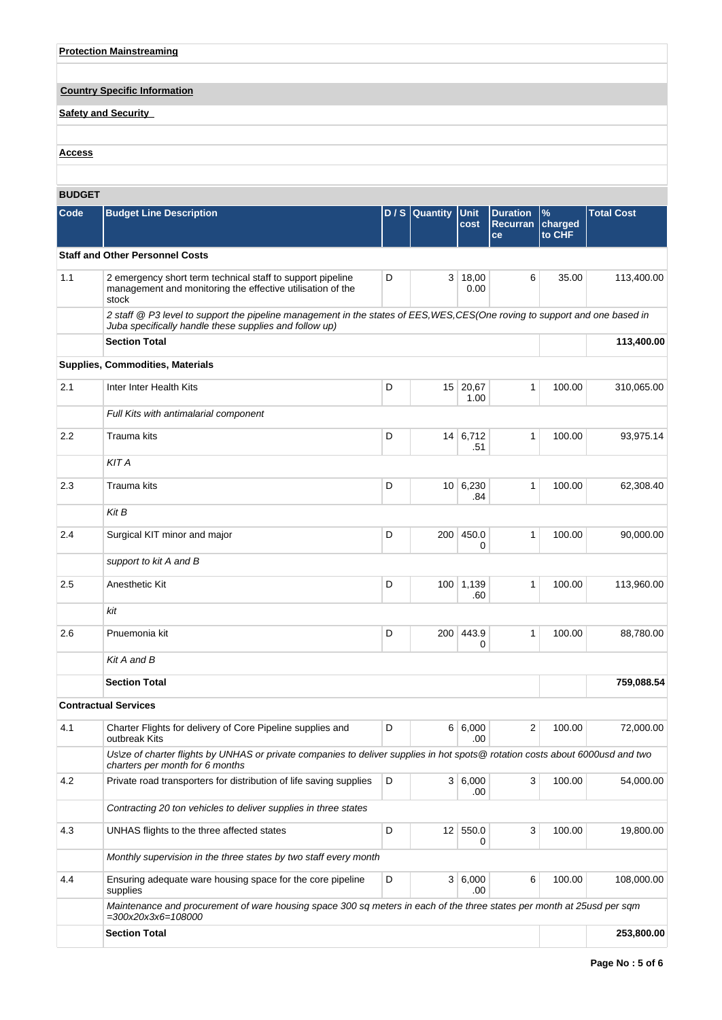# **Protection Mainstreaming**

# **Country Specific Information**

# **Safety and Security**

# **Access**

# **BUDGET**

| <b>BUDGET</b> |                                                                                                                                                                                       |   |                 |                     |                                          |                           |                   |
|---------------|---------------------------------------------------------------------------------------------------------------------------------------------------------------------------------------|---|-----------------|---------------------|------------------------------------------|---------------------------|-------------------|
| Code          | <b>Budget Line Description</b>                                                                                                                                                        |   | D/S Quantity    | <b>Unit</b><br>cost | <b>Duration</b><br><b>Recurran</b><br>ce | $\%$<br>charged<br>to CHF | <b>Total Cost</b> |
|               | <b>Staff and Other Personnel Costs</b>                                                                                                                                                |   |                 |                     |                                          |                           |                   |
| 1.1           | 2 emergency short term technical staff to support pipeline<br>management and monitoring the effective utilisation of the<br>stock                                                     | D | 3               | 18,00<br>0.00       | 6                                        | 35.00                     | 113,400.00        |
|               | 2 staff @ P3 level to support the pipeline management in the states of EES, WES, CES(One roving to support and one based in<br>Juba specifically handle these supplies and follow up) |   |                 |                     |                                          |                           |                   |
|               | <b>Section Total</b>                                                                                                                                                                  |   |                 |                     |                                          |                           | 113,400.00        |
|               | <b>Supplies, Commodities, Materials</b>                                                                                                                                               |   |                 |                     |                                          |                           |                   |
| 2.1           | Inter Inter Health Kits                                                                                                                                                               | D | 15 <sup>1</sup> | 20,67<br>1.00       | $\mathbf{1}$                             | 100.00                    | 310,065.00        |
|               | Full Kits with antimalarial component                                                                                                                                                 |   |                 |                     |                                          |                           |                   |
| 2.2           | <b>Trauma</b> kits                                                                                                                                                                    | D |                 | 14   6,712<br>.51   | 1                                        | 100.00                    | 93,975.14         |
|               | <b>KIT A</b>                                                                                                                                                                          |   |                 |                     |                                          |                           |                   |
| 2.3           | Trauma kits                                                                                                                                                                           | D |                 | 10   6,230<br>.84   | 1                                        | 100.00                    | 62,308.40         |
|               | Kit B                                                                                                                                                                                 |   |                 |                     |                                          |                           |                   |
| 2.4           | Surgical KIT minor and major                                                                                                                                                          | D | 200             | 450.0<br>0          | 1                                        | 100.00                    | 90,000.00         |
|               | support to kit A and B                                                                                                                                                                |   |                 |                     |                                          |                           |                   |
| 2.5           | Anesthetic Kit                                                                                                                                                                        | D |                 | 100 1,139<br>.60    | 1                                        | 100.00                    | 113,960.00        |
|               | kit                                                                                                                                                                                   |   |                 |                     |                                          |                           |                   |
| 2.6           | Pnuemonia kit                                                                                                                                                                         | D | 200             | 443.9<br>0          | 1                                        | 100.00                    | 88,780.00         |
|               | Kit A and B                                                                                                                                                                           |   |                 |                     |                                          |                           |                   |
|               | <b>Section Total</b>                                                                                                                                                                  |   |                 |                     |                                          |                           | 759,088.54        |
|               | <b>Contractual Services</b>                                                                                                                                                           |   |                 |                     |                                          |                           |                   |
| 4.1           | Charter Flights for delivery of Core Pipeline supplies and<br>outbreak Kits                                                                                                           | D |                 | 6 6,000<br>.00      | 2                                        | 100.00                    | 72,000.00         |
|               | Us\ze of charter flights by UNHAS or private companies to deliver supplies in hot spots@ rotation costs about 6000usd and two<br>charters per month for 6 months                      |   |                 |                     |                                          |                           |                   |
| 4.2           | Private road transporters for distribution of life saving supplies                                                                                                                    | D |                 | 3 6,000<br>.00      | 3                                        | 100.00                    | 54,000.00         |
|               | Contracting 20 ton vehicles to deliver supplies in three states                                                                                                                       |   |                 |                     |                                          |                           |                   |
| 4.3           | UNHAS flights to the three affected states                                                                                                                                            | D |                 | 12 550.0<br>0       | 3                                        | 100.00                    | 19,800.00         |
|               | Monthly supervision in the three states by two staff every month                                                                                                                      |   |                 |                     |                                          |                           |                   |
| 4.4           | Ensuring adequate ware housing space for the core pipeline<br>supplies                                                                                                                | D |                 | 3   6,000<br>.00    | 6                                        | 100.00                    | 108,000.00        |
|               | Maintenance and procurement of ware housing space 300 sq meters in each of the three states per month at 25usd per sqm<br>$=300x20x3x6=108000$                                        |   |                 |                     |                                          |                           |                   |
|               | <b>Section Total</b>                                                                                                                                                                  |   |                 |                     |                                          |                           | 253,800.00        |